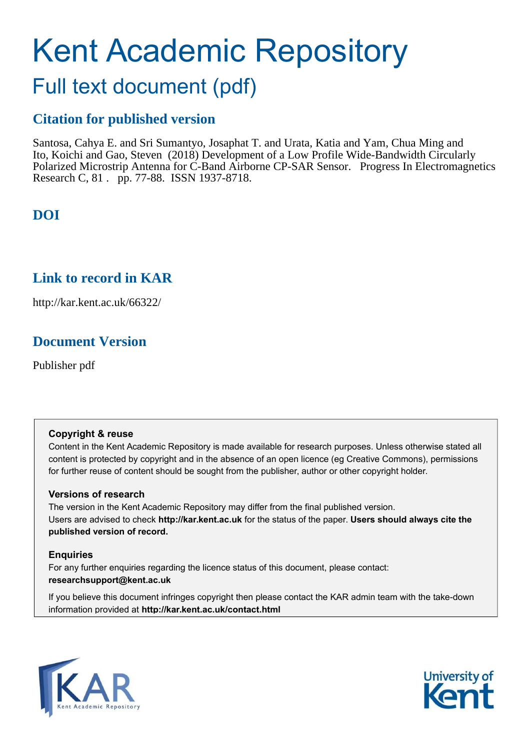# Kent Academic Repository

## Full text document (pdf)

## **Citation for published version**

Santosa, Cahya E. and Sri Sumantyo, Josaphat T. and Urata, Katia and Yam, Chua Ming and Ito, Koichi and Gao, Steven (2018) Development of a Low Profile Wide-Bandwidth Circularly Polarized Microstrip Antenna for C-Band Airborne CP-SAR Sensor. Progress In Electromagnetics Research C, 81 . pp. 77-88. ISSN 1937-8718.

## **DOI**

## **Link to record in KAR**

http://kar.kent.ac.uk/66322/

## **Document Version**

Publisher pdf

#### **Copyright & reuse**

Content in the Kent Academic Repository is made available for research purposes. Unless otherwise stated all content is protected by copyright and in the absence of an open licence (eg Creative Commons), permissions for further reuse of content should be sought from the publisher, author or other copyright holder.

#### **Versions of research**

The version in the Kent Academic Repository may differ from the final published version. Users are advised to check **http://kar.kent.ac.uk** for the status of the paper. **Users should always cite the published version of record.**

#### **Enquiries**

For any further enquiries regarding the licence status of this document, please contact: **researchsupport@kent.ac.uk**

If you believe this document infringes copyright then please contact the KAR admin team with the take-down information provided at **http://kar.kent.ac.uk/contact.html**



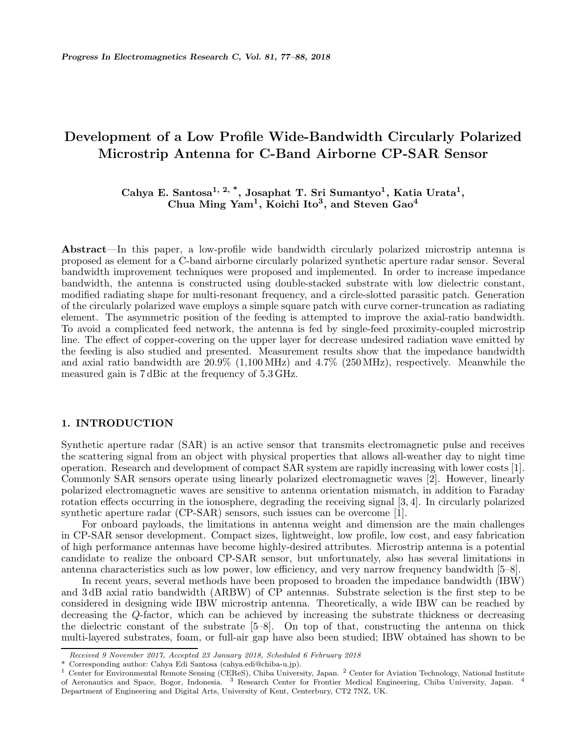### Development of a Low Profile Wide-Bandwidth Circularly Polarized Microstrip Antenna for C-Band Airborne CP-SAR Sensor

#### Cahya E. Santosa<sup>1, 2, \*</sup>, Josaphat T. Sri Sumantyo<sup>1</sup>, Katia Urata<sup>1</sup>, Chua Ming Yam<sup>1</sup>, Koichi Ito<sup>3</sup>, and Steven Gao<sup>4</sup>

Abstract—In this paper, a low-profile wide bandwidth circularly polarized microstrip antenna is proposed as element for a C-band airborne circularly polarized synthetic aperture radar sensor. Several bandwidth improvement techniques were proposed and implemented. In order to increase impedance bandwidth, the antenna is constructed using double-stacked substrate with low dielectric constant, modified radiating shape for multi-resonant frequency, and a circle-slotted parasitic patch. Generation of the circularly polarized wave employs a simple square patch with curve corner-truncation as radiating element. The asymmetric position of the feeding is attempted to improve the axial-ratio bandwidth. To avoid a complicated feed network, the antenna is fed by single-feed proximity-coupled microstrip line. The effect of copper-covering on the upper layer for decrease undesired radiation wave emitted by the feeding is also studied and presented. Measurement results show that the impedance bandwidth and axial ratio bandwidth are 20.9% (1,100 MHz) and 4.7% (250 MHz), respectively. Meanwhile the measured gain is 7 dBic at the frequency of 5.3 GHz.

#### 1. INTRODUCTION

Synthetic aperture radar (SAR) is an active sensor that transmits electromagnetic pulse and receives the scattering signal from an object with physical properties that allows all-weather day to night time operation. Research and development of compact SAR system are rapidly increasing with lower costs [1]. Commonly SAR sensors operate using linearly polarized electromagnetic waves [2]. However, linearly polarized electromagnetic waves are sensitive to antenna orientation mismatch, in addition to Faraday rotation effects occurring in the ionosphere, degrading the receiving signal [3, 4]. In circularly polarized synthetic aperture radar (CP-SAR) sensors, such issues can be overcome [1].

For onboard payloads, the limitations in antenna weight and dimension are the main challenges in CP-SAR sensor development. Compact sizes, lightweight, low profile, low cost, and easy fabrication of high performance antennas have become highly-desired attributes. Microstrip antenna is a potential candidate to realize the onboard CP-SAR sensor, but unfortunately, also has several limitations in antenna characteristics such as low power, low efficiency, and very narrow frequency bandwidth [5–8].

In recent years, several methods have been proposed to broaden the impedance bandwidth (IBW) and 3 dB axial ratio bandwidth (ARBW) of CP antennas. Substrate selection is the first step to be considered in designing wide IBW microstrip antenna. Theoretically, a wide IBW can be reached by decreasing the Q-factor, which can be achieved by increasing the substrate thickness or decreasing the dielectric constant of the substrate [5–8]. On top of that, constructing the antenna on thick multi-layered substrates, foam, or full-air gap have also been studied; IBW obtained has shown to be

Received 9 November 2017, Accepted 23 January 2018, Scheduled 6 February 2018

<sup>\*</sup> Corresponding author: Cahya Edi Santosa (cahya.edi@chiba-u.jp).

<sup>&</sup>lt;sup>1</sup> Center for Environmental Remote Sensing (CEReS), Chiba University, Japan. <sup>2</sup> Center for Aviation Technology, National Institute of Aeronautics and Space, Bogor, Indonesia. <sup>3</sup> Research Center for Frontier Medical Engineering, Chiba University, Japan. <sup>4</sup> Department of Engineering and Digital Arts, University of Kent, Centerbury, CT2 7NZ, UK.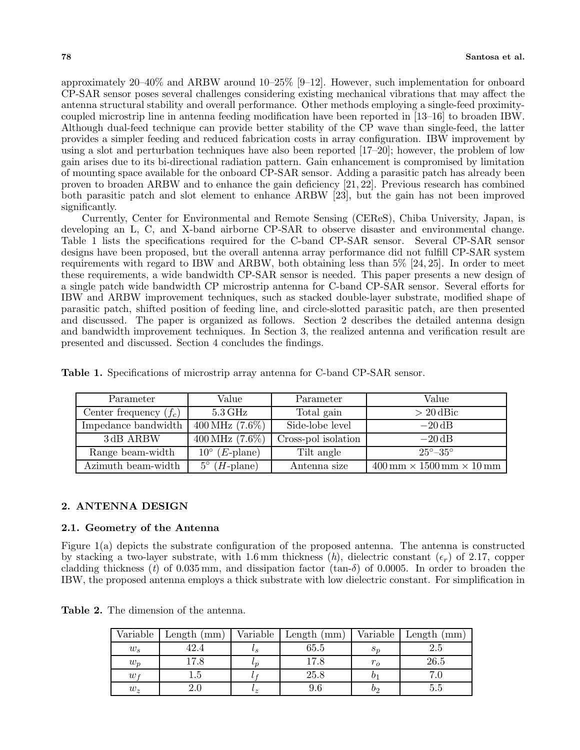approximately 20–40% and ARBW around 10–25% [9–12]. However, such implementation for onboard CP-SAR sensor poses several challenges considering existing mechanical vibrations that may affect the antenna structural stability and overall performance. Other methods employing a single-feed proximitycoupled microstrip line in antenna feeding modification have been reported in [13–16] to broaden IBW. Although dual-feed technique can provide better stability of the CP wave than single-feed, the latter provides a simpler feeding and reduced fabrication costs in array configuration. IBW improvement by using a slot and perturbation techniques have also been reported [17–20]; however, the problem of low gain arises due to its bi-directional radiation pattern. Gain enhancement is compromised by limitation of mounting space available for the onboard CP-SAR sensor. Adding a parasitic patch has already been proven to broaden ARBW and to enhance the gain deficiency [21, 22]. Previous research has combined both parasitic patch and slot element to enhance ARBW [23], but the gain has not been improved significantly.

Currently, Center for Environmental and Remote Sensing (CEReS), Chiba University, Japan, is developing an L, C, and X-band airborne CP-SAR to observe disaster and environmental change. Table 1 lists the specifications required for the C-band CP-SAR sensor. Several CP-SAR sensor designs have been proposed, but the overall antenna array performance did not fulfill CP-SAR system requirements with regard to IBW and ARBW, both obtaining less than 5% [24, 25]. In order to meet these requirements, a wide bandwidth CP-SAR sensor is needed. This paper presents a new design of a single patch wide bandwidth CP microstrip antenna for C-band CP-SAR sensor. Several efforts for IBW and ARBW improvement techniques, such as stacked double-layer substrate, modified shape of parasitic patch, shifted position of feeding line, and circle-slotted parasitic patch, are then presented and discussed. The paper is organized as follows. Section 2 describes the detailed antenna design and bandwidth improvement techniques. In Section 3, the realized antenna and verification result are presented and discussed. Section 4 concludes the findings.

| Parameter                | Value                           | Parameter           | Value                                                                 |
|--------------------------|---------------------------------|---------------------|-----------------------------------------------------------------------|
| Center frequency $(f_c)$ | $5.3\,\mathrm{GHz}$             | Total gain          | $> 20$ dBic                                                           |
| Impedance bandwidth      | $400 \,\mathrm{MHz}$ (7.6%)     | Side-lobe level     | $-20$ dB                                                              |
| 3dB ARBW                 | $400 \,\text{MHz}$ (7.6%)       | Cross-pol isolation | $-20$ dB                                                              |
| Range beam-width         | $10^{\circ}$ ( <i>E</i> -plane) | Tilt angle          | $25^{\circ} - 35^{\circ}$                                             |
| Azimuth beam-width       | $H$ -plane)<br>$5^\circ$        | Antenna size        | $400 \,\mathrm{mm} \times 1500 \,\mathrm{mm} \times 10 \,\mathrm{mm}$ |

Table 1. Specifications of microstrip array antenna for C-band CP-SAR sensor.

#### 2. ANTENNA DESIGN

#### 2.1. Geometry of the Antenna

Figure 1(a) depicts the substrate configuration of the proposed antenna. The antenna is constructed by stacking a two-layer substrate, with 1.6 mm thickness (h), dielectric constant  $(\epsilon_r)$  of 2.17, copper cladding thickness (t) of 0.035 mm, and dissipation factor (tan- $\delta$ ) of 0.0005. In order to broaden the IBW, the proposed antenna employs a thick substrate with low dielectric constant. For simplification in

| <b>Table 2.</b> The dimension of the antenna. |
|-----------------------------------------------|
|-----------------------------------------------|

| Variable | Length $(mm)$ | Variable     | Length<br>$\rm (mm)$ | Variable         | Length $(mm)$    |
|----------|---------------|--------------|----------------------|------------------|------------------|
| $w_s$    | 42.4          | $^{\iota s}$ | 65.5                 | $s_{n}$          | $\phantom{-}2.5$ |
| $w_p$    | 17.8          | $\iota$      | 17.8                 | $r_{o}$          | 26.5             |
| $w_f$    | $_{1.5}$      |              | 25.8                 | $\boldsymbol{v}$ |                  |
| $w_z$    |               | $^{\iota}z$  |                      | 02               | ს.ს              |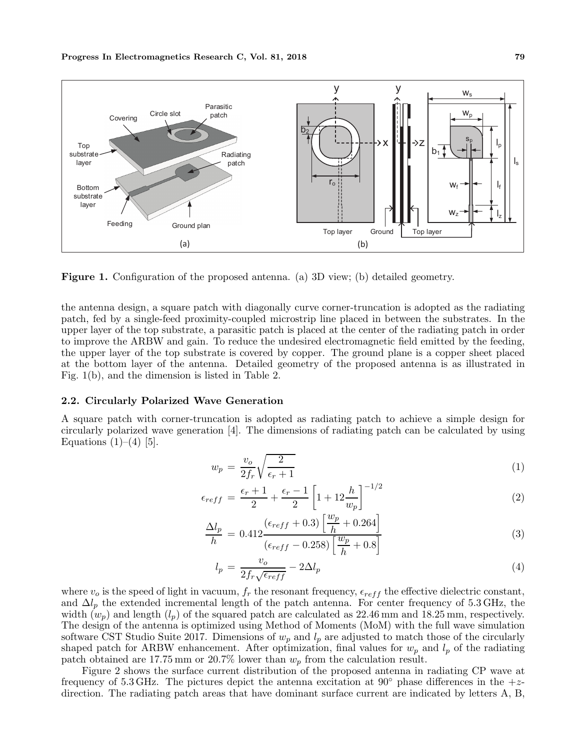

Figure 1. Configuration of the proposed antenna. (a) 3D view; (b) detailed geometry.

the antenna design, a square patch with diagonally curve corner-truncation is adopted as the radiating patch, fed by a single-feed proximity-coupled microstrip line placed in between the substrates. In the upper layer of the top substrate, a parasitic patch is placed at the center of the radiating patch in order to improve the ARBW and gain. To reduce the undesired electromagnetic field emitted by the feeding, the upper layer of the top substrate is covered by copper. The ground plane is a copper sheet placed at the bottom layer of the antenna. Detailed geometry of the proposed antenna is as illustrated in Fig. 1(b), and the dimension is listed in Table 2.

#### 2.2. Circularly Polarized Wave Generation

A square patch with corner-truncation is adopted as radiating patch to achieve a simple design for circularly polarized wave generation [4]. The dimensions of radiating patch can be calculated by using Equations  $(1)$ – $(4)$  [5].

$$
w_p = \frac{v_o}{2f_r} \sqrt{\frac{2}{\epsilon_r + 1}}\tag{1}
$$

$$
\epsilon_{reff} = \frac{\epsilon_r + 1}{2} + \frac{\epsilon_r - 1}{2} \left[ 1 + 12 \frac{h}{w_p} \right]^{-1/2}
$$
 (2)

$$
\frac{\Delta l_p}{h} = 0.412 \frac{(\epsilon_{reff} + 0.3) \left[ \frac{w_p}{h} + 0.264 \right]}{(\epsilon_{reff} - 0.258) \left[ \frac{w_p}{h} + 0.8 \right]}
$$
(3)

$$
l_p = \frac{v_o}{2f_r\sqrt{\epsilon_{reff}}} - 2\Delta l_p \tag{4}
$$

where  $v_o$  is the speed of light in vacuum,  $f_r$  the resonant frequency,  $\epsilon_{reff}$  the effective dielectric constant, and  $\Delta l_p$  the extended incremental length of the patch antenna. For center frequency of 5.3 GHz, the width  $(w_p)$  and length  $(l_p)$  of the squared patch are calculated as 22.46 mm and 18.25 mm, respectively. The design of the antenna is optimized using Method of Moments (MoM) with the full wave simulation software CST Studio Suite 2017. Dimensions of  $w_p$  and  $l_p$  are adjusted to match those of the circularly shaped patch for ARBW enhancement. After optimization, final values for  $w_p$  and  $l_p$  of the radiating patch obtained are 17.75 mm or 20.7% lower than  $w_p$  from the calculation result.

Figure 2 shows the surface current distribution of the proposed antenna in radiating CP wave at frequency of 5.3 GHz. The pictures depict the antenna excitation at 90 $\degree$  phase differences in the +zdirection. The radiating patch areas that have dominant surface current are indicated by letters A, B,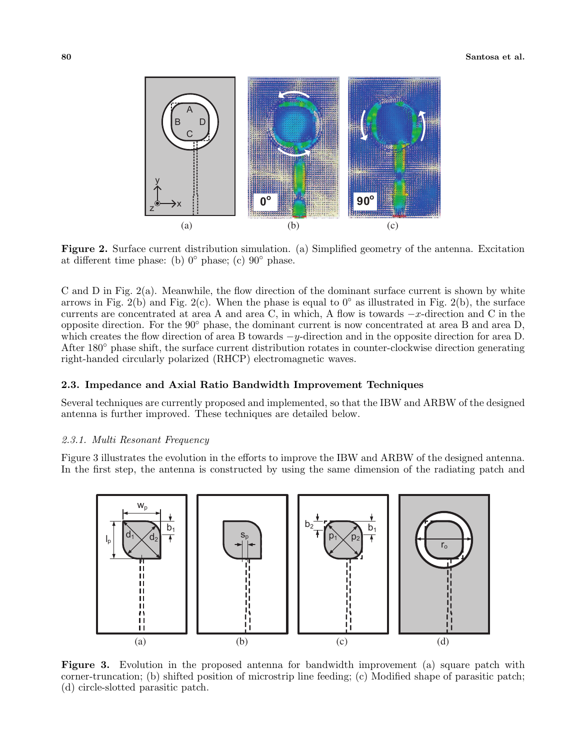

Figure 2. Surface current distribution simulation. (a) Simplified geometry of the antenna. Excitation at different time phase: (b)  $0°$  phase; (c)  $90°$  phase.

C and D in Fig.  $2(a)$ . Meanwhile, the flow direction of the dominant surface current is shown by white arrows in Fig. 2(b) and Fig. 2(c). When the phase is equal to  $0°$  as illustrated in Fig. 2(b), the surface currents are concentrated at area A and area C, in which, A flow is towards <sup>−</sup>x-direction and C in the opposite direction. For the 90◦ phase, the dominant current is now concentrated at area B and area D, which creates the flow direction of area B towards  $-y$ -direction and in the opposite direction for area D. After 180◦ phase shift, the surface current distribution rotates in counter-clockwise direction generating right-handed circularly polarized (RHCP) electromagnetic waves.

#### 2.3. Impedance and Axial Ratio Bandwidth Improvement Techniques

Several techniques are currently proposed and implemented, so that the IBW and ARBW of the designed antenna is further improved. These techniques are detailed below.

#### 2.3.1. Multi Resonant Frequency

Figure 3 illustrates the evolution in the efforts to improve the IBW and ARBW of the designed antenna. In the first step, the antenna is constructed by using the same dimension of the radiating patch and



Figure 3. Evolution in the proposed antenna for bandwidth improvement (a) square patch with corner-truncation; (b) shifted position of microstrip line feeding; (c) Modified shape of parasitic patch; (d) circle-slotted parasitic patch.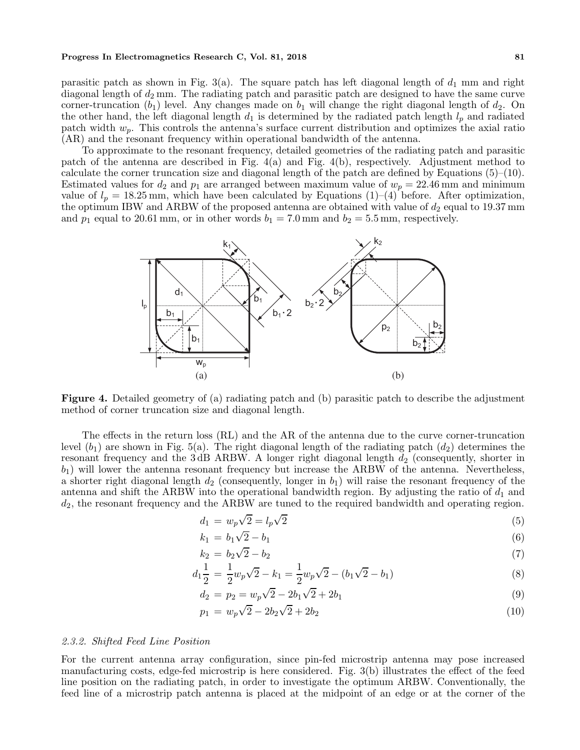#### Progress In Electromagnetics Research C, Vol. 81, 2018 81

parasitic patch as shown in Fig. 3(a). The square patch has left diagonal length of  $d_1$  mm and right diagonal length of  $d_2$  mm. The radiating patch and parasitic patch are designed to have the same curve corner-truncation  $(b_1)$  level. Any changes made on  $b_1$  will change the right diagonal length of  $d_2$ . On the other hand, the left diagonal length  $d_1$  is determined by the radiated patch length  $l_p$  and radiated patch width  $w_p$ . This controls the antenna's surface current distribution and optimizes the axial ratio (AR) and the resonant frequency within operational bandwidth of the antenna.

To approximate to the resonant frequency, detailed geometries of the radiating patch and parasitic patch of the antenna are described in Fig. 4(a) and Fig. 4(b), respectively. Adjustment method to calculate the corner truncation size and diagonal length of the patch are defined by Equations  $(5)-(10)$ . Estimated values for  $d_2$  and  $p_1$  are arranged between maximum value of  $w_p = 22.46$  mm and minimum value of  $l_p = 18.25$  mm, which have been calculated by Equations (1)–(4) before. After optimization, the optimum IBW and ARBW of the proposed antenna are obtained with value of  $d_2$  equal to 19.37 mm and  $p_1$  equal to 20.61 mm, or in other words  $b_1 = 7.0$  mm and  $b_2 = 5.5$  mm, respectively.



Figure 4. Detailed geometry of (a) radiating patch and (b) parasitic patch to describe the adjustment method of corner truncation size and diagonal length.

The effects in the return loss (RL) and the AR of the antenna due to the curve corner-truncation level  $(b_1)$  are shown in Fig. 5(a). The right diagonal length of the radiating patch  $(d_2)$  determines the resonant frequency and the 3dB ARBW. A longer right diagonal length  $d_2$  (consequently, shorter in  $b_1$ ) will lower the antenna resonant frequency but increase the ARBW of the antenna. Nevertheless, a shorter right diagonal length  $d_2$  (consequently, longer in  $b_1$ ) will raise the resonant frequency of the antenna and shift the ARBW into the operational bandwidth region. By adjusting the ratio of  $d_1$  and  $d_2$ , the resonant frequency and the ARBW are tuned to the required bandwidth and operating region.

$$
d_1 = w_p \sqrt{2} = l_p \sqrt{2} \tag{5}
$$

$$
k_1 = b_1 \sqrt{2} - b_1 \tag{6}
$$

$$
k_2 = b_2\sqrt{2} - b_2\tag{7}
$$

$$
d_1 \frac{1}{2} = \frac{1}{2} w_p \sqrt{2} - k_1 = \frac{1}{2} w_p \sqrt{2} - (b_1 \sqrt{2} - b_1)
$$
\n(8)

$$
d_2 = p_2 = w_p \sqrt{2} - 2b_1 \sqrt{2} + 2b_1 \tag{9}
$$

$$
p_1 = w_p \sqrt{2} - 2b_2 \sqrt{2} + 2b_2 \tag{10}
$$

#### 2.3.2. Shifted Feed Line Position

For the current antenna array configuration, since pin-fed microstrip antenna may pose increased manufacturing costs, edge-fed microstrip is here considered. Fig. 3(b) illustrates the effect of the feed line position on the radiating patch, in order to investigate the optimum ARBW. Conventionally, the feed line of a microstrip patch antenna is placed at the midpoint of an edge or at the corner of the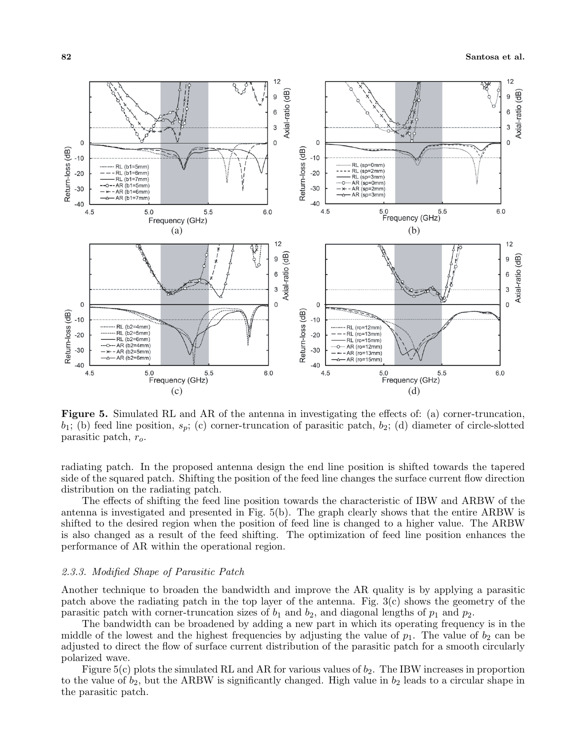

Figure 5. Simulated RL and AR of the antenna in investigating the effects of: (a) corner-truncation,  $b_1$ ; (b) feed line position,  $s_p$ ; (c) corner-truncation of parasitic patch,  $b_2$ ; (d) diameter of circle-slotted parasitic patch,  $r_o$ .

radiating patch. In the proposed antenna design the end line position is shifted towards the tapered side of the squared patch. Shifting the position of the feed line changes the surface current flow direction distribution on the radiating patch.

The effects of shifting the feed line position towards the characteristic of IBW and ARBW of the antenna is investigated and presented in Fig. 5(b). The graph clearly shows that the entire ARBW is shifted to the desired region when the position of feed line is changed to a higher value. The ARBW is also changed as a result of the feed shifting. The optimization of feed line position enhances the performance of AR within the operational region.

#### 2.3.3. Modified Shape of Parasitic Patch

Another technique to broaden the bandwidth and improve the AR quality is by applying a parasitic patch above the radiating patch in the top layer of the antenna. Fig.  $3(c)$  shows the geometry of the parasitic patch with corner-truncation sizes of  $b_1$  and  $b_2$ , and diagonal lengths of  $p_1$  and  $p_2$ .

The bandwidth can be broadened by adding a new part in which its operating frequency is in the middle of the lowest and the highest frequencies by adjusting the value of  $p_1$ . The value of  $b_2$  can be adjusted to direct the flow of surface current distribution of the parasitic patch for a smooth circularly polarized wave.

Figure 5(c) plots the simulated RL and AR for various values of  $b_2$ . The IBW increases in proportion to the value of  $b_2$ , but the ARBW is significantly changed. High value in  $b_2$  leads to a circular shape in the parasitic patch.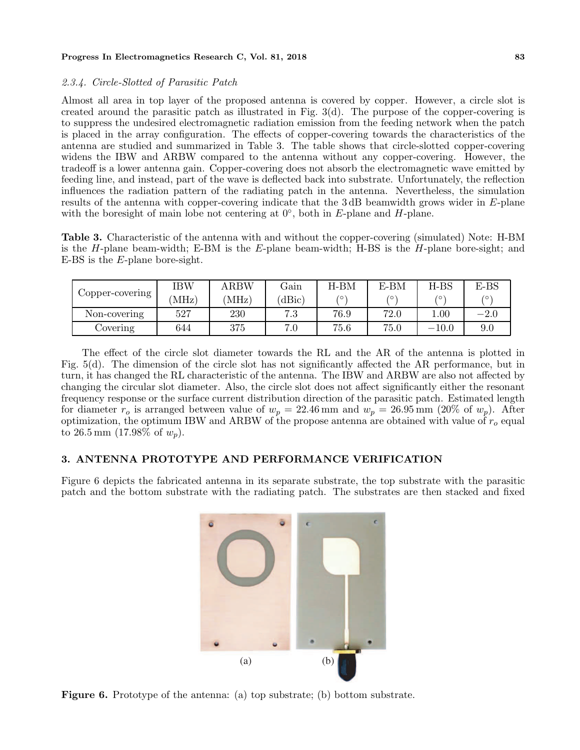#### Progress In Electromagnetics Research C, Vol. 81, 2018 83

#### 2.3.4. Circle-Slotted of Parasitic Patch

Almost all area in top layer of the proposed antenna is covered by copper. However, a circle slot is created around the parasitic patch as illustrated in Fig. 3(d). The purpose of the copper-covering is to suppress the undesired electromagnetic radiation emission from the feeding network when the patch is placed in the array configuration. The effects of copper-covering towards the characteristics of the antenna are studied and summarized in Table 3. The table shows that circle-slotted copper-covering widens the IBW and ARBW compared to the antenna without any copper-covering. However, the tradeoff is a lower antenna gain. Copper-covering does not absorb the electromagnetic wave emitted by feeding line, and instead, part of the wave is deflected back into substrate. Unfortunately, the reflection influences the radiation pattern of the radiating patch in the antenna. Nevertheless, the simulation results of the antenna with copper-covering indicate that the 3 dB beamwidth grows wider in E-plane with the boresight of main lobe not centering at  $0^{\circ}$ , both in E-plane and H-plane.

Table 3. Characteristic of the antenna with and without the copper-covering (simulated) Note: H-BM is the  $H$ -plane beam-width; E-BM is the  $E$ -plane beam-width; H-BS is the  $H$ -plane bore-sight; and E-BS is the E-plane bore-sight.

|                 | IBW   | <b>ARBW</b> | Gain | $H-BM$ | $E-BM$ | $H-BS$  | $E-BS$ |
|-----------------|-------|-------------|------|--------|--------|---------|--------|
| Copper-covering | (MHz) | MHz)        | dBic | ′ ⊙    | ∕ ⊙`   | 6       | 70     |
| Non-covering    | 527   | 230         | 7.3  | 76.9   | 72.0   | 00.1    | $-2.0$ |
| Covering        | 644   | 375         | 7.0  | 75.6   | 75.0   | $-10.0$ | 9.0    |

The effect of the circle slot diameter towards the RL and the AR of the antenna is plotted in Fig. 5(d). The dimension of the circle slot has not significantly affected the AR performance, but in turn, it has changed the RL characteristic of the antenna. The IBW and ARBW are also not affected by changing the circular slot diameter. Also, the circle slot does not affect significantly either the resonant frequency response or the surface current distribution direction of the parasitic patch. Estimated length for diameter  $r_o$  is arranged between value of  $w_p = 22.46$  mm and  $w_p = 26.95$  mm (20% of  $w_p$ ). After optimization, the optimum IBW and ARBW of the propose antenna are obtained with value of  $r_o$  equal to 26.5 mm (17.98% of  $w_p$ ).

#### 3. ANTENNA PROTOTYPE AND PERFORMANCE VERIFICATION

Figure 6 depicts the fabricated antenna in its separate substrate, the top substrate with the parasitic patch and the bottom substrate with the radiating patch. The substrates are then stacked and fixed



Figure 6. Prototype of the antenna: (a) top substrate; (b) bottom substrate.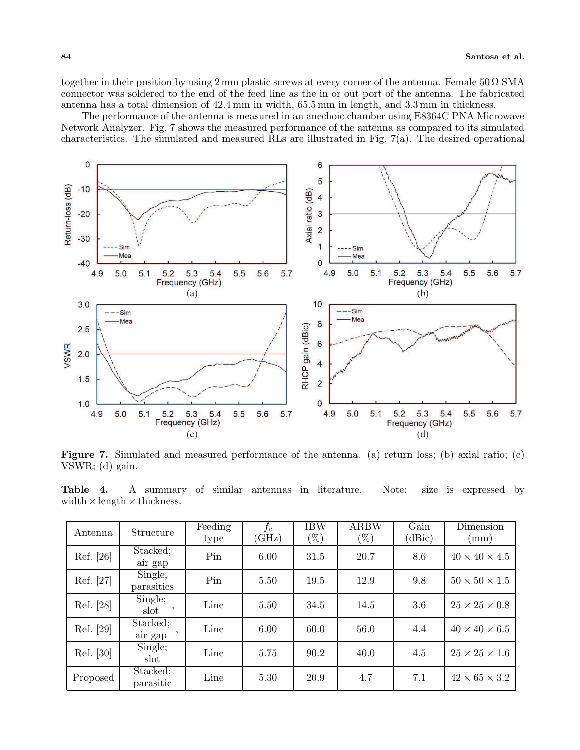together in their position by using  $2 \text{ mm}$  plastic screws at every corner of the antenna. Female  $50 \Omega$  SMA connector was soldered to the end of the feed line as the in or out port of the antenna. The fabricated antenna has a total dimension of 42.4 mm in width, 65.5 mm in length, and 3.3 mm in thickness.

The performance of the antenna is measured in an anechoic chamber using E8364C PNA Microwave Network Analyzer. Fig. 7 shows the measured performance of the antenna as compared to its simulated characteristics. The simulated and measured RLs are illustrated in Fig. 7(a). The desired operational



Figure 7. Simulated and measured performance of the antenna. (a) return loss; (b) axial ratio; (c) VSWR; (d) gain.

Table 4. A summary of similar antennas in literature. Note: size is expressed by width  $\times$  length  $\times$  thickness.

| Antenna   | Structure             | Feeding<br>type | $f_c$<br>(GHz) | <b>IBW</b><br>$(\%)$ | ARBW<br>$(\%)$ | Gain<br>(dBic) | Dimension<br>(mm)         |
|-----------|-----------------------|-----------------|----------------|----------------------|----------------|----------------|---------------------------|
| Ref. [26] | Stacked;<br>air gap   | Pin             | 6.00           | 31.5                 | 20.7           | 8.6            | $40 \times 40 \times 4.5$ |
| Ref. [27] | Single;<br>parasitics | Pin             | 5.50           | 19.5                 | 12.9           | 9.8            | $50 \times 50 \times 1.5$ |
| Ref. [28] | Single;<br>slot       | Line            | 5.50           | 34.5                 | 14.5           | 3.6            | $25 \times 25 \times 0.8$ |
| Ref. [29] | Stacked;<br>air gap   | Line            | 6.00           | 60.0                 | 56.0           | 4.4            | $40 \times 40 \times 6.5$ |
| Ref. [30] | Single;<br>slot       | Line            | 5.75           | 90.2                 | 40.0           | 4.5            | $25 \times 25 \times 1.6$ |
| Proposed  | Stacked;<br>parasitic | Line            | 5.30           | 20.9                 | 4.7            | 7.1            | $42 \times 65 \times 3.2$ |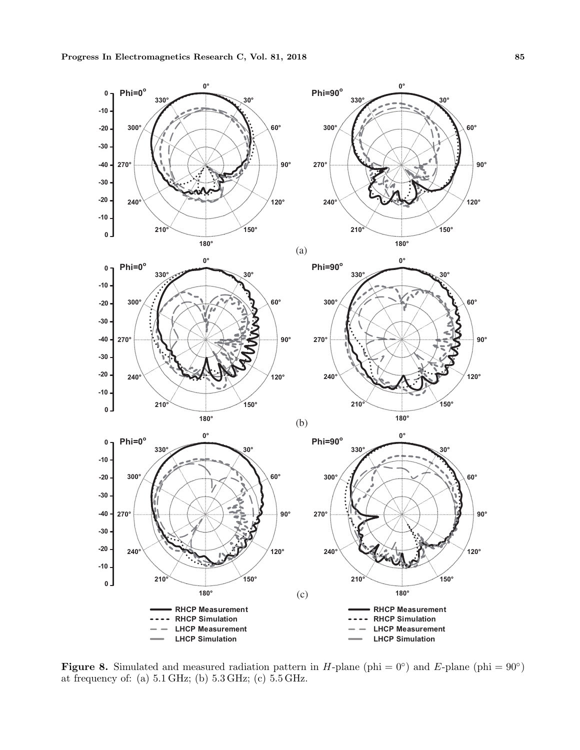

Figure 8. Simulated and measured radiation pattern in *H*-plane (phi =  $0^{\circ}$ ) and *E*-plane (phi =  $90^{\circ}$ ) at frequency of: (a) 5.1 GHz; (b) 5.3 GHz; (c) 5.5 GHz.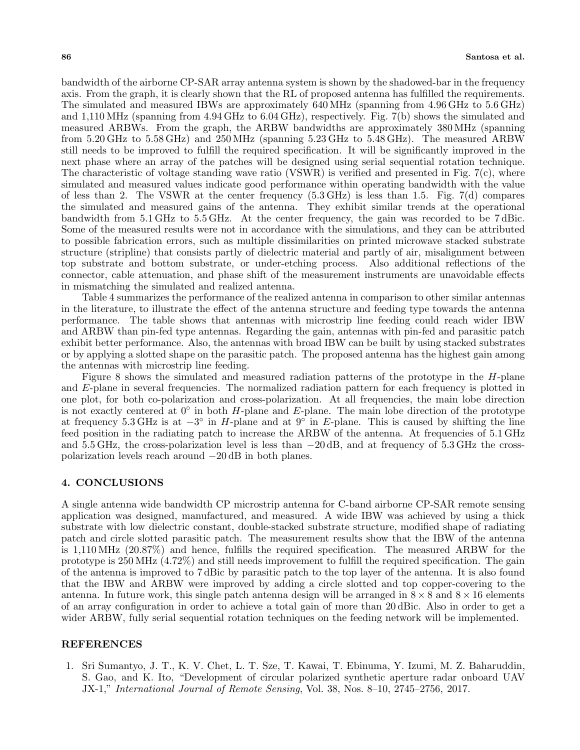bandwidth of the airborne CP-SAR array antenna system is shown by the shadowed-bar in the frequency axis. From the graph, it is clearly shown that the RL of proposed antenna has fulfilled the requirements. The simulated and measured IBWs are approximately 640 MHz (spanning from 4.96 GHz to 5.6 GHz) and 1,110 MHz (spanning from 4.94 GHz to 6.04 GHz), respectively. Fig. 7(b) shows the simulated and measured ARBWs. From the graph, the ARBW bandwidths are approximately 380 MHz (spanning from 5.20 GHz to 5.58 GHz) and 250 MHz (spanning 5.23 GHz to 5.48 GHz). The measured ARBW still needs to be improved to fulfill the required specification. It will be significantly improved in the next phase where an array of the patches will be designed using serial sequential rotation technique. The characteristic of voltage standing wave ratio (VSWR) is verified and presented in Fig.  $7(c)$ , where simulated and measured values indicate good performance within operating bandwidth with the value of less than 2. The VSWR at the center frequency (5.3 GHz) is less than 1.5. Fig. 7(d) compares the simulated and measured gains of the antenna. They exhibit similar trends at the operational bandwidth from 5.1 GHz to 5.5 GHz. At the center frequency, the gain was recorded to be 7 dBic. Some of the measured results were not in accordance with the simulations, and they can be attributed to possible fabrication errors, such as multiple dissimilarities on printed microwave stacked substrate structure (stripline) that consists partly of dielectric material and partly of air, misalignment between top substrate and bottom substrate, or under-etching process. Also additional reflections of the connector, cable attenuation, and phase shift of the measurement instruments are unavoidable effects in mismatching the simulated and realized antenna.

Table 4 summarizes the performance of the realized antenna in comparison to other similar antennas in the literature, to illustrate the effect of the antenna structure and feeding type towards the antenna performance. The table shows that antennas with microstrip line feeding could reach wider IBW and ARBW than pin-fed type antennas. Regarding the gain, antennas with pin-fed and parasitic patch exhibit better performance. Also, the antennas with broad IBW can be built by using stacked substrates or by applying a slotted shape on the parasitic patch. The proposed antenna has the highest gain among the antennas with microstrip line feeding.

Figure 8 shows the simulated and measured radiation patterns of the prototype in the H-plane and E-plane in several frequencies. The normalized radiation pattern for each frequency is plotted in one plot, for both co-polarization and cross-polarization. At all frequencies, the main lobe direction is not exactly centered at  $0^\circ$  in both H-plane and E-plane. The main lobe direction of the prototype at frequency 5.3 GHz is at  $-3^\circ$  in H-plane and at  $9^\circ$  in E-plane. This is caused by shifting the line feed position in the radiating patch to increase the ARBW of the antenna. At frequencies of 5.1 GHz and 5.5 GHz, the cross-polarization level is less than −20 dB, and at frequency of 5.3 GHz the crosspolarization levels reach around −20 dB in both planes.

#### 4. CONCLUSIONS

A single antenna wide bandwidth CP microstrip antenna for C-band airborne CP-SAR remote sensing application was designed, manufactured, and measured. A wide IBW was achieved by using a thick substrate with low dielectric constant, double-stacked substrate structure, modified shape of radiating patch and circle slotted parasitic patch. The measurement results show that the IBW of the antenna is 1,110 MHz (20.87%) and hence, fulfills the required specification. The measured ARBW for the prototype is 250 MHz (4.72%) and still needs improvement to fulfill the required specification. The gain of the antenna is improved to 7 dBic by parasitic patch to the top layer of the antenna. It is also found that the IBW and ARBW were improved by adding a circle slotted and top copper-covering to the antenna. In future work, this single patch antenna design will be arranged in  $8 \times 8$  and  $8 \times 16$  elements of an array configuration in order to achieve a total gain of more than 20 dBic. Also in order to get a wider ARBW, fully serial sequential rotation techniques on the feeding network will be implemented.

#### REFERENCES

1. Sri Sumantyo, J. T., K. V. Chet, L. T. Sze, T. Kawai, T. Ebinuma, Y. Izumi, M. Z. Baharuddin, S. Gao, and K. Ito, "Development of circular polarized synthetic aperture radar onboard UAV JX-1," International Journal of Remote Sensing, Vol. 38, Nos. 8–10, 2745–2756, 2017.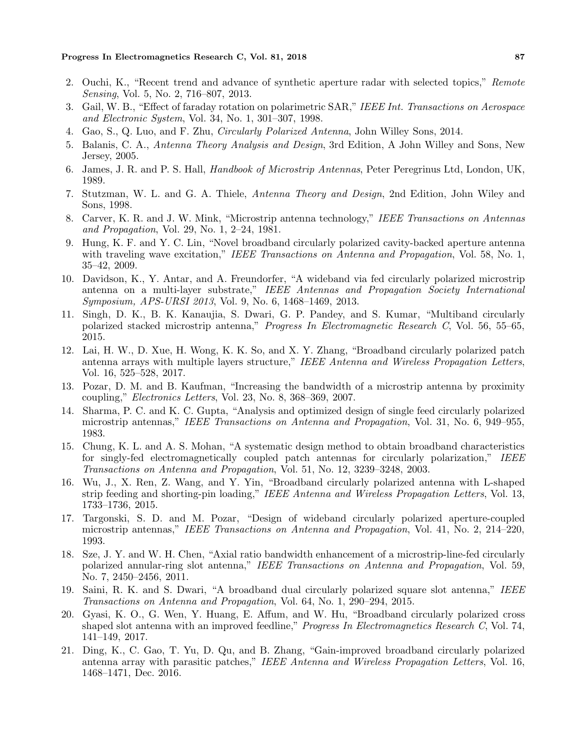- 2. Ouchi, K., "Recent trend and advance of synthetic aperture radar with selected topics," Remote Sensing, Vol. 5, No. 2, 716–807, 2013.
- 3. Gail, W. B., "Effect of faraday rotation on polarimetric SAR," IEEE Int. Transactions on Aerospace and Electronic System, Vol. 34, No. 1, 301–307, 1998.
- 4. Gao, S., Q. Luo, and F. Zhu, Circularly Polarized Antenna, John Willey Sons, 2014.
- 5. Balanis, C. A., Antenna Theory Analysis and Design, 3rd Edition, A John Willey and Sons, New Jersey, 2005.
- 6. James, J. R. and P. S. Hall, Handbook of Microstrip Antennas, Peter Peregrinus Ltd, London, UK, 1989.
- 7. Stutzman, W. L. and G. A. Thiele, Antenna Theory and Design, 2nd Edition, John Wiley and Sons, 1998.
- 8. Carver, K. R. and J. W. Mink, "Microstrip antenna technology," IEEE Transactions on Antennas and Propagation, Vol. 29, No. 1, 2–24, 1981.
- 9. Hung, K. F. and Y. C. Lin, "Novel broadband circularly polarized cavity-backed aperture antenna with traveling wave excitation," IEEE Transactions on Antenna and Propagation, Vol. 58, No. 1, 35–42, 2009.
- 10. Davidson, K., Y. Antar, and A. Freundorfer, "A wideband via fed circularly polarized microstrip antenna on a multi-layer substrate," IEEE Antennas and Propagation Society International Symposium, APS-URSI 2013, Vol. 9, No. 6, 1468–1469, 2013.
- 11. Singh, D. K., B. K. Kanaujia, S. Dwari, G. P. Pandey, and S. Kumar, "Multiband circularly polarized stacked microstrip antenna," Progress In Electromagnetic Research C, Vol. 56, 55–65, 2015.
- 12. Lai, H. W., D. Xue, H. Wong, K. K. So, and X. Y. Zhang, "Broadband circularly polarized patch antenna arrays with multiple layers structure," IEEE Antenna and Wireless Propagation Letters, Vol. 16, 525–528, 2017.
- 13. Pozar, D. M. and B. Kaufman, "Increasing the bandwidth of a microstrip antenna by proximity coupling," Electronics Letters, Vol. 23, No. 8, 368–369, 2007.
- 14. Sharma, P. C. and K. C. Gupta, "Analysis and optimized design of single feed circularly polarized microstrip antennas," IEEE Transactions on Antenna and Propagation, Vol. 31, No. 6, 949–955, 1983.
- 15. Chung, K. L. and A. S. Mohan, "A systematic design method to obtain broadband characteristics for singly-fed electromagnetically coupled patch antennas for circularly polarization," IEEE Transactions on Antenna and Propagation, Vol. 51, No. 12, 3239–3248, 2003.
- 16. Wu, J., X. Ren, Z. Wang, and Y. Yin, "Broadband circularly polarized antenna with L-shaped strip feeding and shorting-pin loading," IEEE Antenna and Wireless Propagation Letters, Vol. 13, 1733–1736, 2015.
- 17. Targonski, S. D. and M. Pozar, "Design of wideband circularly polarized aperture-coupled microstrip antennas," IEEE Transactions on Antenna and Propagation, Vol. 41, No. 2, 214–220, 1993.
- 18. Sze, J. Y. and W. H. Chen, "Axial ratio bandwidth enhancement of a microstrip-line-fed circularly polarized annular-ring slot antenna," IEEE Transactions on Antenna and Propagation, Vol. 59, No. 7, 2450–2456, 2011.
- 19. Saini, R. K. and S. Dwari, "A broadband dual circularly polarized square slot antenna," IEEE Transactions on Antenna and Propagation, Vol. 64, No. 1, 290–294, 2015.
- 20. Gyasi, K. O., G. Wen, Y. Huang, E. Affum, and W. Hu, "Broadband circularly polarized cross shaped slot antenna with an improved feedline," Progress In Electromagnetics Research C, Vol. 74, 141–149, 2017.
- 21. Ding, K., C. Gao, T. Yu, D. Qu, and B. Zhang, "Gain-improved broadband circularly polarized antenna array with parasitic patches," IEEE Antenna and Wireless Propagation Letters, Vol. 16, 1468–1471, Dec. 2016.